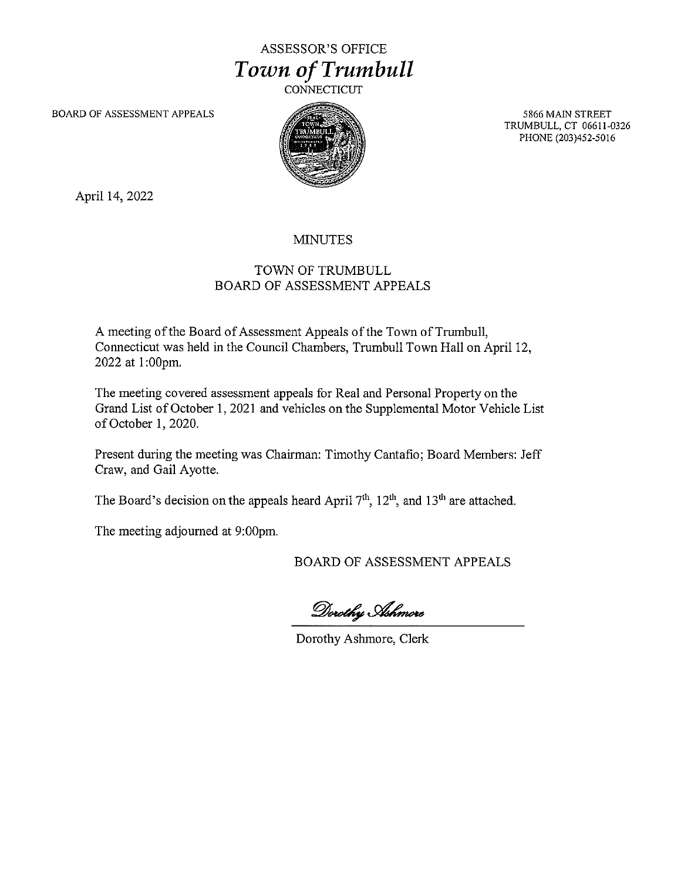## ASSESSOR'S OFFICE *Town of Trumbull*

**CONNECTICUT** 

BOARD OF ASSESSMENT APPEALS



5866 MAIN STREET TRUMBULL, CT 06611-0326 PHONE (203)452-5016

April 14, 2022

## MINUTES

## TOWN OF TRUMBULL BOARD OF ASSESSMENT APPEALS

A meeting of the Board of Assessment Appeals of the Town of Trumbull, Connecticut was held in the Council Chambers, Trumbull Town Hall on April 12, 2022 at 1:00pm.

The meeting covered assessment appeals for Real and Personal Property on the Grand List of October 1, 2021 and vehicles on the Supplemental Motor Vehicle List of October 1, 2020.

Present during the meeting was Chairman: Timothy Cantafio; Board Members: Jeff Craw, and Gail Ayotte.

The Board's decision on the appeals heard April  $7<sup>th</sup>$ ,  $12<sup>th</sup>$ , and  $13<sup>th</sup>$  are attached.

The meeting adjourned at 9:00pm.

BOARD OF ASSESSMENT APPEALS

Dorothy Ashmore

Dorothy Ashmore, Clerk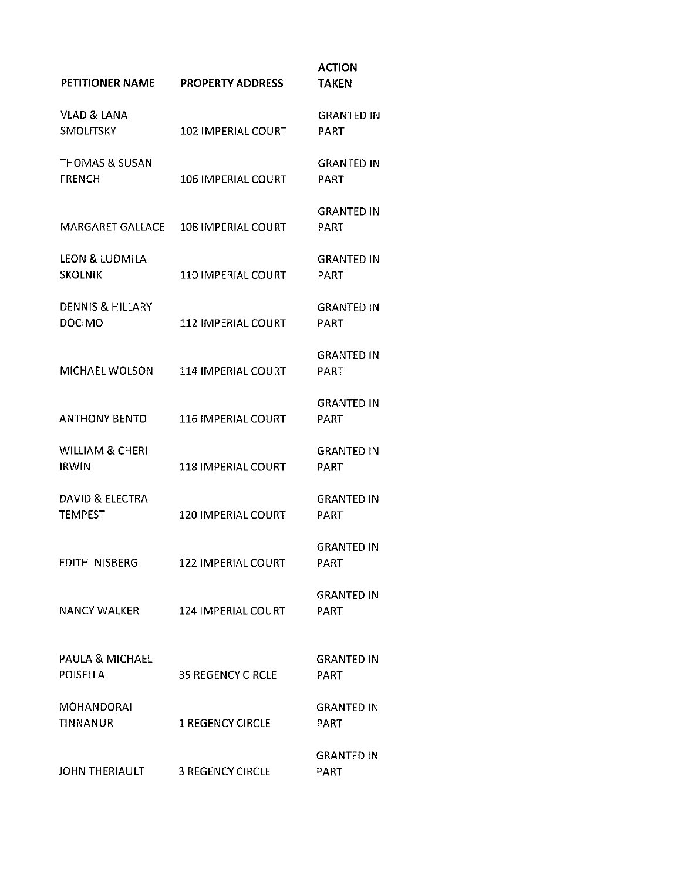| PETITIONER NAME                              | <b>PROPERTY ADDRESS</b>   | <b>ACTION</b><br><b>TAKEN</b>    |
|----------------------------------------------|---------------------------|----------------------------------|
| VLAD & LANA<br><b>SMOLITSKY</b>              | <b>102 IMPERIAL COURT</b> | <b>GRANTED IN</b><br>PART        |
| <b>THOMAS &amp; SUSAN</b><br><b>FRENCH</b>   | <b>106 IMPERIAL COURT</b> | <b>GRANTED IN</b><br>PART        |
| <b>MARGARET GALLACE</b>                      | 108 IMPERIAL COURT        | <b>GRANTED IN</b><br>PART        |
| LEON & LUDMILA<br><b>SKOLNIK</b>             | <b>110 IMPERIAL COURT</b> | <b>GRANTED IN</b><br>PART        |
| <b>DENNIS &amp; HILLARY</b><br><b>DOCIMO</b> | <b>112 IMPERIAL COURT</b> | <b>GRANTED IN</b><br><b>PART</b> |
| <b>MICHAEL WOLSON</b>                        | <b>114 IMPERIAL COURT</b> | <b>GRANTED IN</b><br>PART        |
| <b>ANTHONY BENTO</b>                         | <b>116 IMPERIAL COURT</b> | <b>GRANTED IN</b><br><b>PART</b> |
| <b>WILLIAM &amp; CHERI</b><br><b>IRWIN</b>   | <b>118 IMPERIAL COURT</b> | <b>GRANTED IN</b><br><b>PART</b> |
| <b>DAVID &amp; ELECTRA</b><br><b>TEMPEST</b> | <b>120 IMPERIAL COURT</b> | <b>GRANTED IN</b><br>PART        |
| EDITH NISBERG                                | 122 IMPERIAL COURT        | <b>GRANTED IN</b><br>PART        |
| NANCY WALKER                                 | <b>124 IMPERIAL COURT</b> | <b>GRANTED IN</b><br><b>PART</b> |
| PAULA & MICHAEL<br><b>POISELLA</b>           | <b>35 REGENCY CIRCLE</b>  | <b>GRANTED IN</b><br>PART        |
| MOHANDORAI<br>TINNANUR                       | <b>1 REGENCY CIRCLE</b>   | <b>GRANTED IN</b><br>PART        |
| JOHN THERIAULT                               | <b>3 REGENCY CIRCLE</b>   | <b>GRANTED IN</b><br>PART        |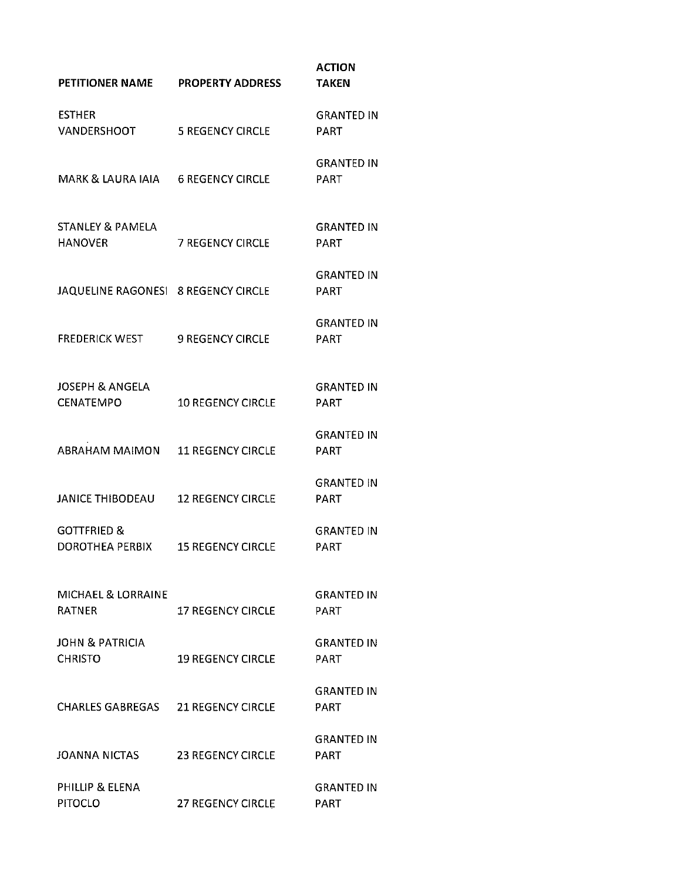| <b>PETITIONER NAME</b>                        | <b>PROPERTY ADDRESS</b>  | <b>ACTION</b><br><b>TAKEN</b>    |
|-----------------------------------------------|--------------------------|----------------------------------|
| <b>ESTHER</b><br>VANDERSHOOT                  | <b>5 REGENCY CIRCLE</b>  | <b>GRANTED IN</b><br><b>PART</b> |
| MARK & LAURA IAIA                             | <b>6 REGENCY CIRCLE</b>  | <b>GRANTED IN</b><br>PART        |
| <b>STANLEY &amp; PAMELA</b><br><b>HANOVER</b> | <b>7 REGENCY CIRCLE</b>  | <b>GRANTED IN</b><br>PART        |
| JAQUELINE RAGONESI 8 REGENCY CIRCLE           |                          | <b>GRANTED IN</b><br><b>PART</b> |
| <b>FREDERICK WEST</b>                         | <b>9 REGENCY CIRCLE</b>  | <b>GRANTED IN</b><br>PART        |
| JOSEPH & ANGELA<br><b>CENATEMPO</b>           | <b>10 REGENCY CIRCLE</b> | <b>GRANTED IN</b><br><b>PART</b> |
| <b>ABRAHAM MAIMON</b>                         | <b>11 REGENCY CIRCLE</b> | <b>GRANTED IN</b><br><b>PART</b> |
| JANICE THIBODEAU                              | <b>12 REGENCY CIRCLE</b> | <b>GRANTED IN</b><br><b>PART</b> |
| GOTTFRIED &<br>DOROTHEA PERBIX                | <b>15 REGENCY CIRCLE</b> | <b>GRANTED IN</b><br><b>PART</b> |
| MICHAEL & LORRAINE<br>RATNER                  | <b>17 REGENCY CIRCLE</b> | <b>GRANTED IN</b><br><b>PART</b> |
| JOHN & PATRICIA<br><b>CHRISTO</b>             | <b>19 REGENCY CIRCLE</b> | GRANTED IN<br>PART               |
| CHARLES GABREGAS 21 REGENCY CIRCLE            |                          | <b>GRANTED IN</b><br>PART        |
| JOANNA NICTAS                                 | <b>23 REGENCY CIRCLE</b> | <b>GRANTED IN</b><br>PART        |
| PHILLIP & ELENA<br><b>PITOCLO</b>             | <b>27 REGENCY CIRCLE</b> | <b>GRANTED IN</b><br>PART        |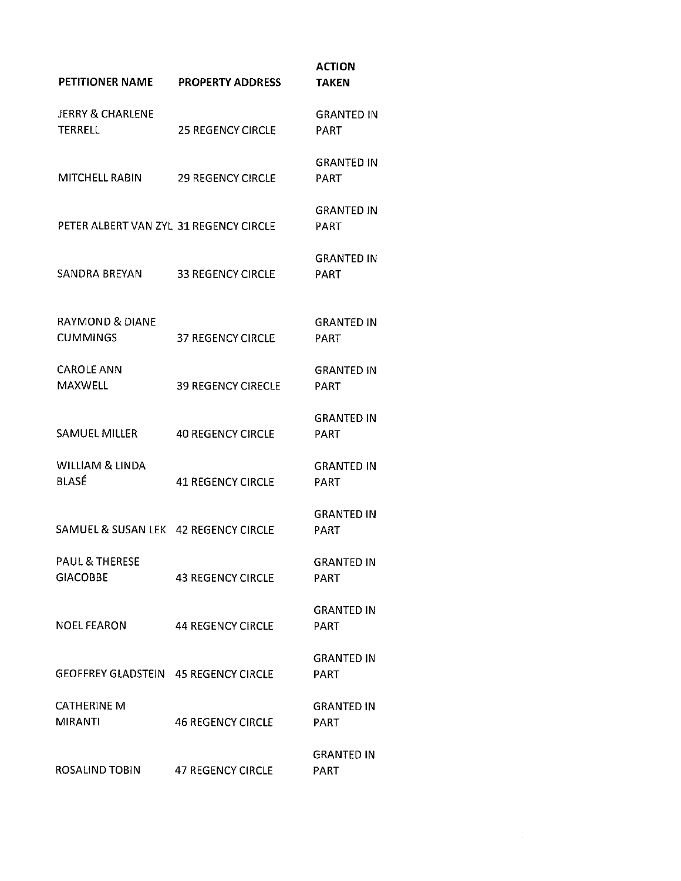| PETITIONER NAME                               | <b>PROPERTY ADDRESS</b>   | <b>ACTION</b><br><b>TAKEN</b>    |
|-----------------------------------------------|---------------------------|----------------------------------|
| <b>JERRY &amp; CHARLENE</b><br><b>TERRELL</b> | <b>25 REGENCY CIRCLE</b>  | <b>GRANTED IN</b><br><b>PART</b> |
| MITCHELL RABIN                                | <b>29 REGENCY CIRCLE</b>  | <b>GRANTED IN</b><br>PART        |
| PETER ALBERT VAN ZYL 31 REGENCY CIRCLE        |                           | <b>GRANTED IN</b><br><b>PART</b> |
| SANDRA BREYAN                                 | <b>33 REGENCY CIRCLE</b>  | <b>GRANTED IN</b><br><b>PART</b> |
| <b>RAYMOND &amp; DIANE</b><br><b>CUMMINGS</b> | <b>37 REGENCY CIRCLE</b>  | GRANTED IN<br><b>PART</b>        |
| <b>CAROLE ANN</b><br><b>MAXWELL</b>           | <b>39 REGENCY CIRECLE</b> | <b>GRANTED IN</b><br><b>PART</b> |
| SAMUEL MILLER                                 | <b>40 REGENCY CIRCLE</b>  | <b>GRANTED IN</b><br><b>PART</b> |
| WILLIAM & LINDA<br>BLASÉ                      | <b>41 REGENCY CIRCLE</b>  | <b>GRANTED IN</b><br>PART        |
| SAMUEL & SUSAN LEK 42 REGENCY CIRCLE          |                           | <b>GRANTED IN</b><br>PART        |
| <b>PAUL &amp; THERESE</b><br><b>GIACOBBE</b>  | <b>43 REGENCY CIRCLE</b>  | <b>GRANTED IN</b><br><b>PART</b> |
| <b>NOEL FEARON</b>                            | <b>44 REGENCY CIRCLE</b>  | <b>GRANTED IN</b><br>PART        |
| GEOFFREY GLADSTEIN 45 REGENCY CIRCLE          |                           | <b>GRANTED IN</b><br>PART        |
| <b>CATHERINE M</b><br><b>MIRANTI</b>          | <b>46 REGENCY CIRCLE</b>  | GRANTED IN<br>PART               |
| ROSALIND TOBIN                                | <b>47 REGENCY CIRCLE</b>  | <b>GRANTED IN</b><br><b>PART</b> |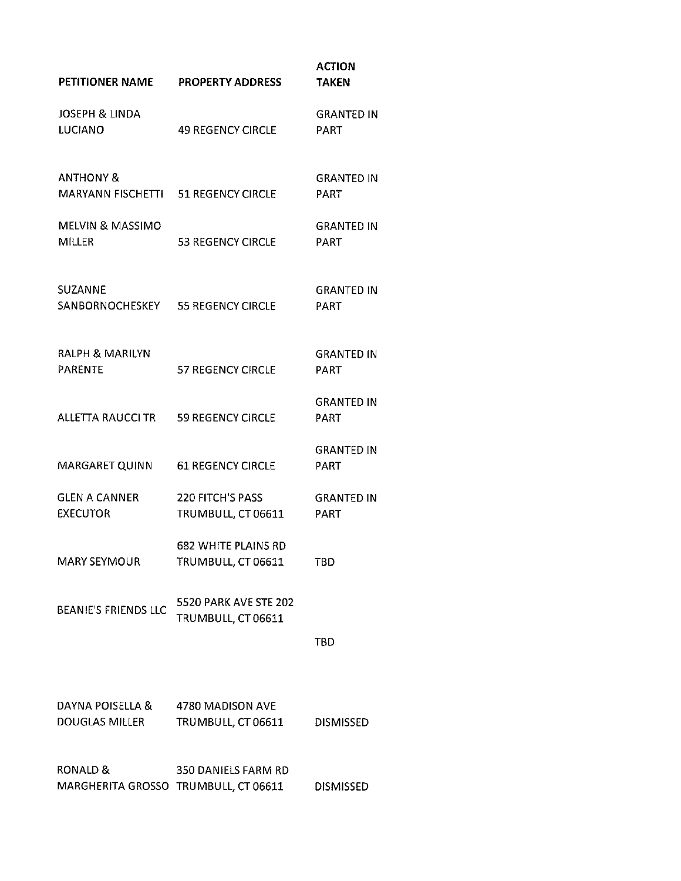| PETITIONER NAME                                             | <b>PROPERTY ADDRESS</b>                          | <b>ACTION</b><br><b>TAKEN</b>    |
|-------------------------------------------------------------|--------------------------------------------------|----------------------------------|
| <b>JOSEPH &amp; LINDA</b><br><b>LUCIANO</b>                 | <b>49 REGENCY CIRCLE</b>                         | <b>GRANTED IN</b><br><b>PART</b> |
| <b>ANTHONY &amp;</b><br>MARYANN FISCHETTI 51 REGENCY CIRCLE |                                                  | <b>GRANTED IN</b><br>PART        |
| <b>MELVIN &amp; MASSIMO</b><br><b>MILLER</b>                | <b>53 REGENCY CIRCLE</b>                         | <b>GRANTED IN</b><br><b>PART</b> |
| SUZANNE<br>SANBORNOCHESKEY 55 REGENCY CIRCLE                |                                                  | <b>GRANTED IN</b><br><b>PART</b> |
| <b>RALPH &amp; MARILYN</b><br><b>PARENTE</b>                | <b>57 REGENCY CIRCLE</b>                         | <b>GRANTED IN</b><br><b>PART</b> |
| ALLETTA RAUCCI TR                                           | <b>59 REGENCY CIRCLE</b>                         | <b>GRANTED IN</b><br><b>PART</b> |
| MARGARET QUINN                                              | <b>61 REGENCY CIRCLE</b>                         | <b>GRANTED IN</b><br><b>PART</b> |
| GLEN A CANNER<br><b>EXECUTOR</b>                            | 220 FITCH'S PASS<br>TRUMBULL, CT 06611           | <b>GRANTED IN</b><br><b>PART</b> |
| MARY SEYMOUR                                                | <b>682 WHITE PLAINS RD</b><br>TRUMBULL, CT 06611 | TBD                              |
| <b>BEANIE'S FRIENDS LLC</b>                                 | 5520 PARK AVE STE 202<br>TRUMBULL, CT 06611      |                                  |
|                                                             |                                                  | TBD                              |
| DAYNA POISELLA & 4780 MADISON AVE<br>DOUGLAS MILLER         | TRUMBULL, CT 06611                               | <b>DISMISSED</b>                 |
| RONALD &<br>MARGHERITA GROSSO TRUMBULL, CT 06611            | 350 DANIELS FARM RD                              | <b>DISMISSED</b>                 |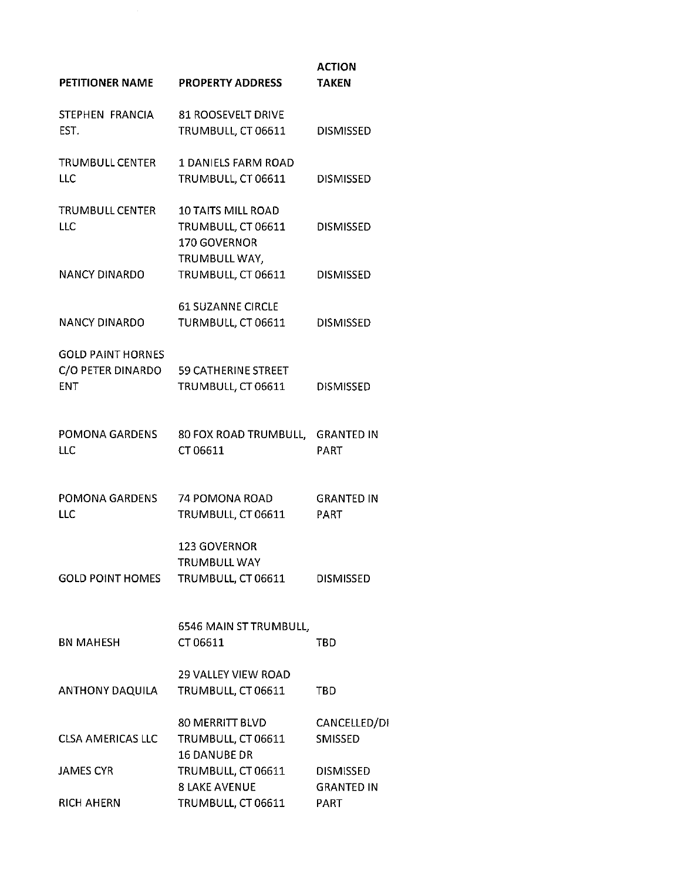| <b>PROPERTY ADDRESS</b>                                               | <b>ACTION</b><br><b>TAKEN</b>                         |
|-----------------------------------------------------------------------|-------------------------------------------------------|
| 81 ROOSEVELT DRIVE<br>TRUMBULL, CT 06611                              | <b>DISMISSED</b>                                      |
| TRUMBULL CENTER<br><b>1 DANIELS FARM ROAD</b><br>TRUMBULL, CT 06611   | <b>DISMISSED</b>                                      |
| <b>10 TAITS MILL ROAD</b><br>TRUMBULL, CT 06611<br>170 GOVERNOR       | <b>DISMISSED</b>                                      |
| TRUMBULL, CT 06611                                                    | <b>DISMISSED</b>                                      |
| <b>61 SUZANNE CIRCLE</b><br>TURMBULL, CT 06611                        | <b>DISMISSED</b>                                      |
| C/O PETER DINARDO<br><b>59 CATHERINE STREET</b><br>TRUMBULL, CT 06611 | <b>DISMISSED</b>                                      |
| POMONA GARDENS<br>80 FOX ROAD TRUMBULL, GRANTED IN<br>CT 06611        | <b>PART</b>                                           |
| POMONA GARDENS 74 POMONA ROAD<br>TRUMBULL, CT 06611                   | <b>GRANTED IN</b><br>PART                             |
| <b>123 GOVERNOR</b><br>TRUMBULL WAY<br>TRUMBULL, CT 06611             | <b>DISMISSED</b>                                      |
| 6546 MAIN ST TRUMBULL,<br>CT 06611                                    | TBD                                                   |
| <b>29 VALLEY VIEW ROAD</b><br>TRUMBULL, CT 06611                      | <b>TBD</b>                                            |
| 80 MERRITT BLVD<br>TRUMBULL, CT 06611                                 | CANCELLED/DI<br>SMISSED                               |
| TRUMBULL, CT 06611                                                    | <b>DISMISSED</b>                                      |
| TRUMBULL, CT 06611                                                    | <b>GRANTED IN</b><br>PART                             |
|                                                                       | TRUMBULL WAY,<br>16 DANUBE DR<br><b>8 LAKE AVENUE</b> |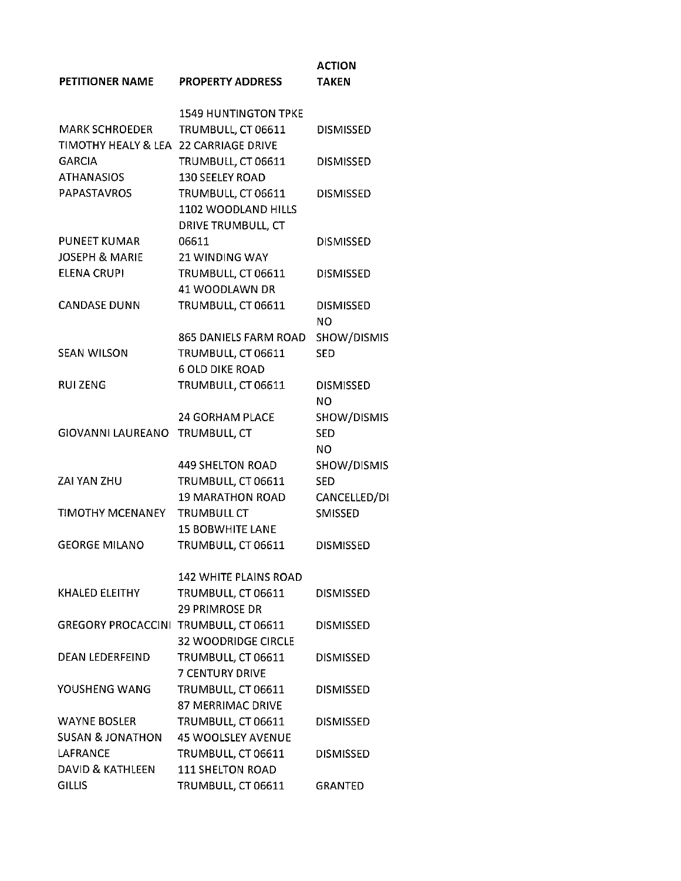| PETITIONER NAME                                  | <b>PROPERTY ADDRESS</b>        | <b>ACTION</b><br><b>TAKEN</b> |
|--------------------------------------------------|--------------------------------|-------------------------------|
|                                                  | <b>1549 HUNTINGTON TPKE</b>    |                               |
| <b>MARK SCHROEDER</b>                            | TRUMBULL, CT 06611             | <b>DISMISSED</b>              |
| TIMOTHY HEALY & LEA 22 CARRIAGE DRIVE            |                                |                               |
| <b>GARCIA</b>                                    | TRUMBULL, CT 06611             | <b>DISMISSED</b>              |
| <b>ATHANASIOS</b>                                | 130 SEELEY ROAD                |                               |
| <b>PAPASTAVROS</b>                               | TRUMBULL, CT 06611             | <b>DISMISSED</b>              |
|                                                  | 1102 WOODLAND HILLS            |                               |
|                                                  | DRIVE TRUMBULL, CT             |                               |
| <b>PUNEET KUMAR</b><br><b>JOSEPH &amp; MARIE</b> | 06611<br><b>21 WINDING WAY</b> | <b>DISMISSED</b>              |
| <b>ELENA CRUPI</b>                               | TRUMBULL, CT 06611             | <b>DISMISSED</b>              |
|                                                  | 41 WOODLAWN DR                 |                               |
| <b>CANDASE DUNN</b>                              | TRUMBULL, CT 06611             | <b>DISMISSED</b>              |
|                                                  |                                | NO                            |
|                                                  | 865 DANIELS FARM ROAD          | SHOW/DISMIS                   |
| <b>SEAN WILSON</b>                               | TRUMBULL, CT 06611             | <b>SED</b>                    |
|                                                  | <b>6 OLD DIKE ROAD</b>         |                               |
| <b>RUIZENG</b>                                   | TRUMBULL, CT 06611             | <b>DISMISSED</b>              |
|                                                  |                                | NO.                           |
|                                                  | 24 GORHAM PLACE                | SHOW/DISMIS                   |
| GIOVANNI LAUREANO                                | TRUMBULL, CT                   | <b>SED</b>                    |
|                                                  |                                | NO.                           |
|                                                  | <b>449 SHELTON ROAD</b>        | SHOW/DISMIS                   |
| ZAI YAN ZHU                                      | TRUMBULL, CT 06611             | <b>SED</b>                    |
|                                                  | <b>19 MARATHON ROAD</b>        | CANCELLED/DI                  |
| TIMOTHY MCENANEY                                 | <b>TRUMBULL CT</b>             | SMISSED                       |
|                                                  | <b>15 BOBWHITE LANE</b>        |                               |
| <b>GEORGE MILANO</b>                             | TRUMBULL, CT 06611             | <b>DISMISSED</b>              |
|                                                  | <b>142 WHITE PLAINS ROAD</b>   |                               |
| KHALED ELEITHY                                   | TRUMBULL, CT 06611             | <b>DISMISSED</b>              |
|                                                  | <b>29 PRIMROSE DR</b>          |                               |
| GREGORY PROCACCINI TRUMBULL, CT 06611            |                                | <b>DISMISSED</b>              |
|                                                  | <b>32 WOODRIDGE CIRCLE</b>     |                               |
| DEAN LEDERFEIND                                  | TRUMBULL, CT 06611             | <b>DISMISSED</b>              |
|                                                  | <b>7 CENTURY DRIVE</b>         |                               |
| YOUSHENG WANG                                    | TRUMBULL, CT 06611             | <b>DISMISSED</b>              |
|                                                  | <b>87 MERRIMAC DRIVE</b>       |                               |
| WAYNE BOSLER                                     | TRUMBULL, CT 06611             | <b>DISMISSED</b>              |
| SUSAN & JONATHON                                 | <b>45 WOOLSLEY AVENUE</b>      |                               |
| LAFRANCE                                         | TRUMBULL, CT 06611             | <b>DISMISSED</b>              |
| DAVID & KATHLEEN                                 | <b>111 SHELTON ROAD</b>        |                               |
| <b>GILLIS</b>                                    | TRUMBULL, CT 06611             | <b>GRANTED</b>                |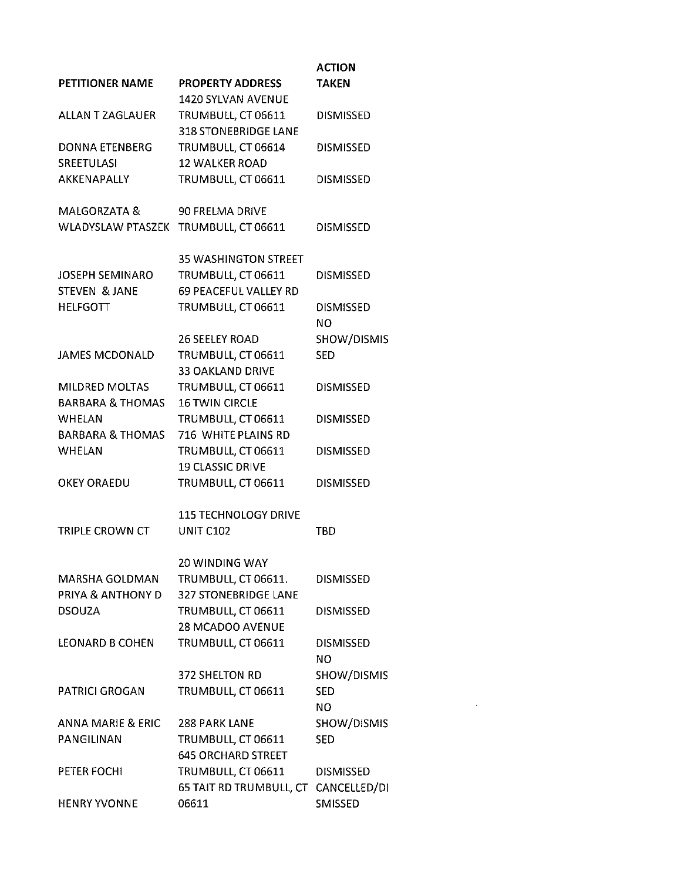|                              |                              | <b>ACTION</b>          |
|------------------------------|------------------------------|------------------------|
| PETITIONER NAME              | <b>PROPERTY ADDRESS</b>      | <b>TAKEN</b>           |
|                              | 1420 SYLVAN AVENUE           |                        |
| ALLAN T ZAGLAUER             | TRUMBULL, CT 06611           | <b>DISMISSED</b>       |
|                              | <b>318 STONEBRIDGE LANE</b>  |                        |
| DONNA ETENBERG               | TRUMBULL, CT 06614           | <b>DISMISSED</b>       |
| SREETULASI                   | <b>12 WALKER ROAD</b>        |                        |
| <b>AKKENAPALLY</b>           | TRUMBULL, CT 06611           | <b>DISMISSED</b>       |
| MALGORZATA &                 | 90 FRELMA DRIVE              |                        |
| WLADYSLAW PTASZEK            | TRUMBULL, CT 06611           | <b>DISMISSED</b>       |
|                              | <b>35 WASHINGTON STREET</b>  |                        |
| <b>JOSEPH SEMINARO</b>       | TRUMBULL, CT 06611           | <b>DISMISSED</b>       |
| STEVEN & JANE                | <b>69 PEACEFUL VALLEY RD</b> |                        |
| <b>HELFGOTT</b>              | TRUMBULL, CT 06611           | <b>DISMISSED</b><br>NO |
|                              | <b>26 SEELEY ROAD</b>        | SHOW/DISMIS            |
| <b>JAMES MCDONALD</b>        | TRUMBULL, CT 06611           | <b>SED</b>             |
|                              | <b>33 OAKLAND DRIVE</b>      |                        |
| <b>MILDRED MOLTAS</b>        | TRUMBULL, CT 06611           | <b>DISMISSED</b>       |
| <b>BARBARA &amp; THOMAS</b>  | <b>16 TWIN CIRCLE</b>        |                        |
| <b>WHELAN</b>                | TRUMBULL, CT 06611           | <b>DISMISSED</b>       |
| <b>BARBARA &amp; THOMAS</b>  | 716 WHITE PLAINS RD          |                        |
| <b>WHELAN</b>                | TRUMBULL, CT 06611           | <b>DISMISSED</b>       |
|                              | <b>19 CLASSIC DRIVE</b>      |                        |
| <b>OKEY ORAEDU</b>           | TRUMBULL, CT 06611           | <b>DISMISSED</b>       |
|                              | <b>115 TECHNOLOGY DRIVE</b>  |                        |
| TRIPLE CROWN CT              | <b>UNIT C102</b>             | TBD                    |
|                              | <b>20 WINDING WAY</b>        |                        |
| MARSHA GOLDMAN               | TRUMBULL, CT 06611.          | <b>DISMISSED</b>       |
| PRIYA & ANTHONY D            | <b>327 STONEBRIDGE LANE</b>  |                        |
| <b>DSOUZA</b>                | TRUMBULL, CT 06611           | <b>DISMISSED</b>       |
|                              | 28 MCADOO AVENUE             |                        |
| <b>LEONARD B COHEN</b>       | TRUMBULL, CT 06611           | <b>DISMISSED</b><br>NO |
|                              | 372 SHELTON RD               | SHOW/DISMIS            |
| <b>PATRICI GROGAN</b>        | TRUMBULL, CT 06611           | <b>SED</b>             |
|                              |                              | <b>NO</b>              |
| <b>ANNA MARIE &amp; ERIC</b> | 288 PARK LANE                | SHOW/DISMIS            |
| PANGILINAN                   | TRUMBULL, CT 06611           | <b>SED</b>             |
|                              | <b>645 ORCHARD STREET</b>    |                        |
| PETER FOCHI                  | TRUMBULL, CT 06611           | <b>DISMISSED</b>       |
|                              | 65 TAIT RD TRUMBULL, CT      | CANCELLED/DI           |
| <b>HENRY YVONNE</b>          | 06611                        | <b>SMISSED</b>         |

 $\mathcal{L}^{\mathcal{L}}(\mathcal{L}^{\mathcal{L}})$  and  $\mathcal{L}^{\mathcal{L}}(\mathcal{L}^{\mathcal{L}})$  and  $\mathcal{L}^{\mathcal{L}}(\mathcal{L}^{\mathcal{L}})$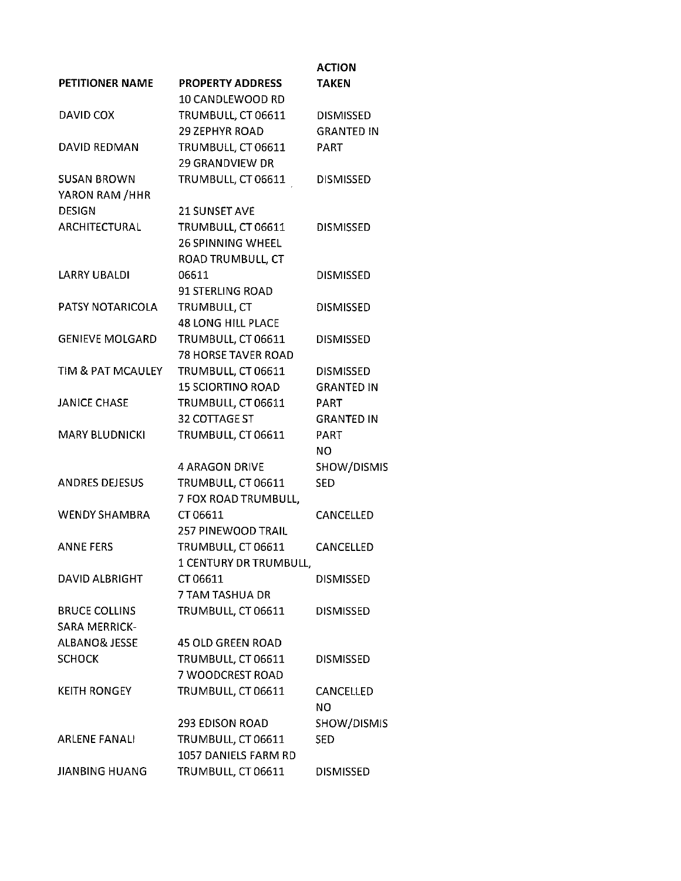|                          |                            | <b>ACTION</b>     |
|--------------------------|----------------------------|-------------------|
| <b>PETITIONER NAME</b>   | <b>PROPERTY ADDRESS</b>    | <b>TAKEN</b>      |
|                          | 10 CANDLEWOOD RD           |                   |
| DAVID COX                | TRUMBULL, CT 06611         | <b>DISMISSED</b>  |
|                          | <b>29 ZEPHYR ROAD</b>      | <b>GRANTED IN</b> |
| DAVID REDMAN             | TRUMBULL, CT 06611         | PART              |
|                          | <b>29 GRANDVIEW DR</b>     |                   |
| <b>SUSAN BROWN</b>       | TRUMBULL, CT 06611         | <b>DISMISSED</b>  |
| YARON RAM / HHR          |                            |                   |
| <b>DESIGN</b>            | 21 SUNSET AVE              |                   |
| ARCHITECTURAL            | TRUMBULL, CT 06611         | <b>DISMISSED</b>  |
|                          | <b>26 SPINNING WHEEL</b>   |                   |
|                          | ROAD TRUMBULL, CT          |                   |
| <b>LARRY UBALDI</b>      | 06611                      | <b>DISMISSED</b>  |
|                          | 91 STERLING ROAD           |                   |
| PATSY NOTARICOLA         | TRUMBULL, CT               | <b>DISMISSED</b>  |
|                          | <b>48 LONG HILL PLACE</b>  |                   |
| <b>GENIEVE MOLGARD</b>   | TRUMBULL, CT 06611         | <b>DISMISSED</b>  |
|                          | <b>78 HORSE TAVER ROAD</b> |                   |
| TIM & PAT MCAULEY        | TRUMBULL, CT 06611         | <b>DISMISSED</b>  |
|                          | <b>15 SCIORTINO ROAD</b>   | <b>GRANTED IN</b> |
| <b>JANICE CHASE</b>      | TRUMBULL, CT 06611         | PART              |
|                          | 32 COTTAGE ST              | <b>GRANTED IN</b> |
| <b>MARY BLUDNICKI</b>    | TRUMBULL, CT 06611         | <b>PART</b>       |
|                          |                            | NO.               |
|                          | <b>4 ARAGON DRIVE</b>      | SHOW/DISMIS       |
| ANDRES DEJESUS           | TRUMBULL, CT 06611         | <b>SED</b>        |
|                          | 7 FOX ROAD TRUMBULL,       |                   |
| <b>WENDY SHAMBRA</b>     | CT 06611                   | <b>CANCELLED</b>  |
|                          | <b>257 PINEWOOD TRAIL</b>  |                   |
| <b>ANNE FERS</b>         | TRUMBULL, CT 06611         | CANCELLED         |
|                          | 1 CENTURY DR TRUMBULL,     |                   |
| DAVID ALBRIGHT           | CT 06611                   | <b>DISMISSED</b>  |
|                          | 7 TAM TASHUA DR            |                   |
| <b>BRUCE COLLINS</b>     | TRUMBULL, CT 06611         | <b>DISMISSED</b>  |
| <b>SARA MERRICK-</b>     |                            |                   |
| <b>ALBANO&amp; JESSE</b> | <b>45 OLD GREEN ROAD</b>   |                   |
| <b>SCHOCK</b>            | TRUMBULL, CT 06611         | <b>DISMISSED</b>  |
|                          | 7 WOODCREST ROAD           |                   |
| <b>KEITH RONGEY</b>      | TRUMBULL, CT 06611         | CANCELLED         |
|                          |                            | NO                |
|                          | <b>293 EDISON ROAD</b>     | SHOW/DISMIS       |
| <b>ARLENE FANALI</b>     | TRUMBULL, CT 06611         | <b>SED</b>        |
|                          | 1057 DANIELS FARM RD       |                   |
| <b>JIANBING HUANG</b>    | TRUMBULL, CT 06611         | <b>DISMISSED</b>  |